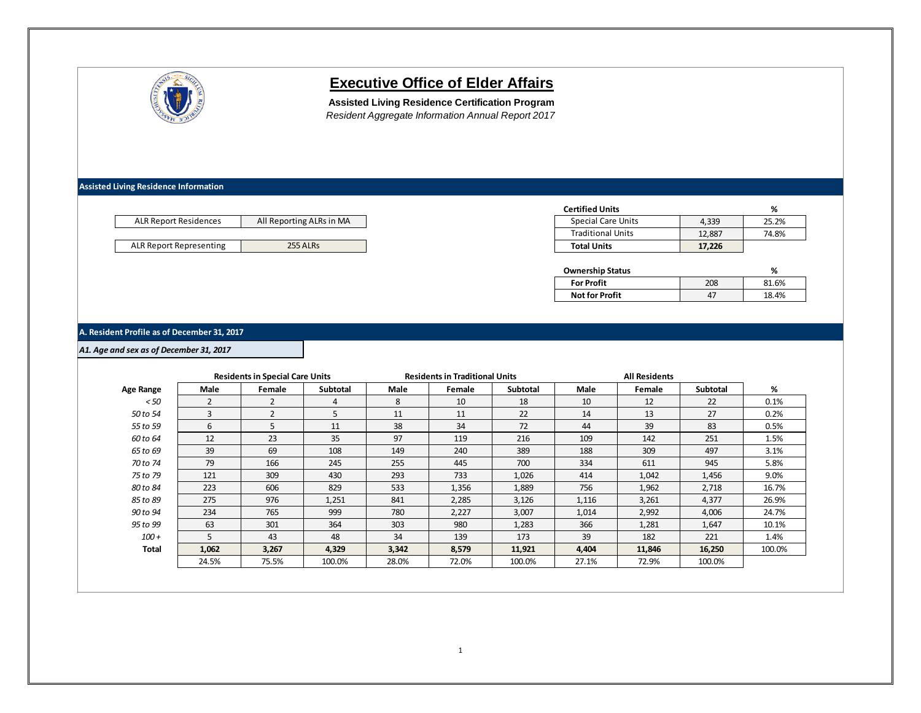

# **Executive Office of Elder Affairs**

**Assisted Living Residence Certification Program** *Resident Aggregate Information Annual Report 2017*

**Assisted Living Residence Information**

| <b>ALR Report Residences</b> | All Reporting ALRs in MA |
|------------------------------|--------------------------|
|                              |                          |
| ALR Report Representing      | 255 ALRs                 |

| <b>Certified Units</b>    |        | ℅     |
|---------------------------|--------|-------|
| <b>Special Care Units</b> | 4.339  | 25.2% |
| <b>Traditional Units</b>  | 12.887 | 74.8% |
| <b>Total Units</b>        | 17,226 |       |

| <b>Ownership Status</b> |     | ℅     |
|-------------------------|-----|-------|
| <b>For Profit</b>       | 208 | 81.6% |
| <b>Not for Profit</b>   |     | 18.4% |

## **A. Resident Profile as of December 31, 2017**

*A1. Age and sex as of December 31, 2017*

|              |       | <b>Residents in Special Care Units</b> |          |       | <b>Residents in Traditional Units</b> |                 |       | <b>All Residents</b> |                 |        |
|--------------|-------|----------------------------------------|----------|-------|---------------------------------------|-----------------|-------|----------------------|-----------------|--------|
| Age Range    | Male  | Female                                 | Subtotal | Male  | Female                                | <b>Subtotal</b> | Male  | Female               | <b>Subtotal</b> | %      |
| < 50         |       |                                        | 4        | 8     | 10                                    | 18              | 10    | 12                   | 22              | 0.1%   |
| 50 to 54     | 3     | $\overline{2}$                         | 5        | 11    | 11                                    | 22              | 14    | 13                   | 27              | 0.2%   |
| 55 to 59     | 6     | 5                                      | 11       | 38    | 34                                    | 72              | 44    | 39                   | 83              | 0.5%   |
| 60 to 64     | 12    | 23                                     | 35       | 97    | 119                                   | 216             | 109   | 142                  | 251             | 1.5%   |
| 65 to 69     | 39    | 69                                     | 108      | 149   | 240                                   | 389             | 188   | 309                  | 497             | 3.1%   |
| 70 to 74     | 79    | 166                                    | 245      | 255   | 445                                   | 700             | 334   | 611                  | 945             | 5.8%   |
| 75 to 79     | 121   | 309                                    | 430      | 293   | 733                                   | 1,026           | 414   | 1,042                | 1,456           | 9.0%   |
| 80 to 84     | 223   | 606                                    | 829      | 533   | 1,356                                 | 1,889           | 756   | 1,962                | 2,718           | 16.7%  |
| 85 to 89     | 275   | 976                                    | 1,251    | 841   | 2,285                                 | 3,126           | 1,116 | 3,261                | 4,377           | 26.9%  |
| 90 to 94     | 234   | 765                                    | 999      | 780   | 2,227                                 | 3,007           | 1,014 | 2,992                | 4,006           | 24.7%  |
| 95 to 99     | 63    | 301                                    | 364      | 303   | 980                                   | 1,283           | 366   | 1,281                | 1,647           | 10.1%  |
| $100 +$      | 5     | 43                                     | 48       | 34    | 139                                   | 173             | 39    | 182                  | 221             | 1.4%   |
| <b>Total</b> | 1,062 | 3,267                                  | 4,329    | 3,342 | 8,579                                 | 11,921          | 4,404 | 11,846               | 16,250          | 100.0% |
|              | 24.5% | 75.5%                                  | 100.0%   | 28.0% | 72.0%                                 | 100.0%          | 27.1% | 72.9%                | 100.0%          |        |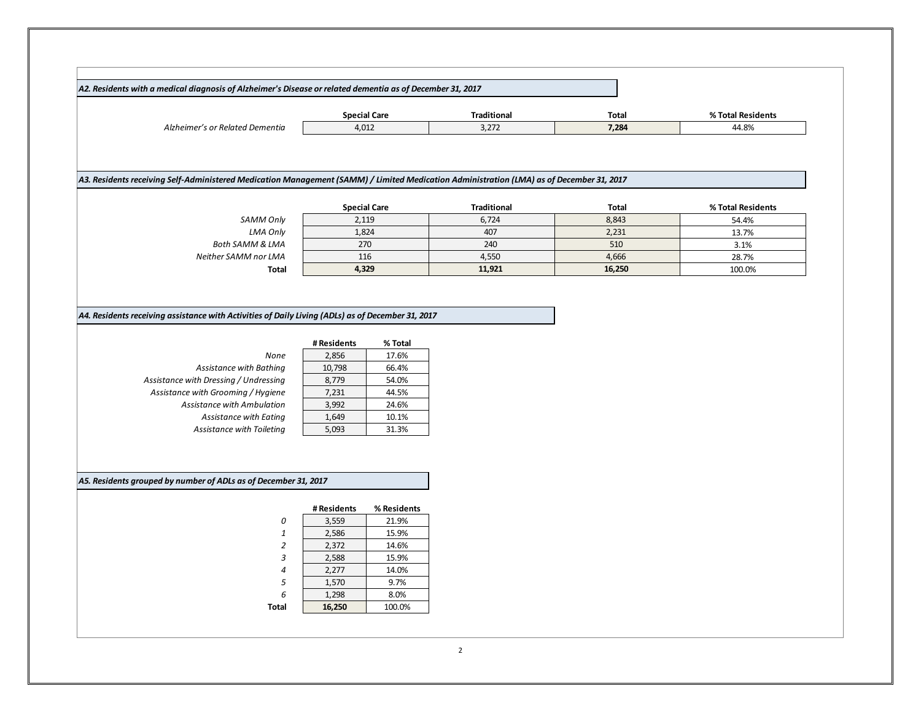| A2. Residents with a medical diagnosis of Alzheimer's Disease or related dementia as of December 31, 2017 |                     |                    |              |                   |  |
|-----------------------------------------------------------------------------------------------------------|---------------------|--------------------|--------------|-------------------|--|
|                                                                                                           | <b>Special Care</b> | <b>Traditional</b> | <b>Total</b> | % Total Residents |  |
| Alzheimer's or Related Dementia                                                                           | 4,012               | 3,272              | 7,284        | 44.8%             |  |

#### *A3. Residents receiving Self-Administered Medication Management (SAMM) / Limited Medication Administration (LMA) as of December 31, 2017*

|                            | <b>Special Care</b> | <b>Traditional</b> | <b>Total</b> | % Total Residents |
|----------------------------|---------------------|--------------------|--------------|-------------------|
| SAMM Only                  | 2,119               | 6.724              | 8,843        | 54.4%             |
| <b>LMA Only</b>            | 1,824               | 407                | 2,231        | 13.7%             |
| <b>Both SAMM &amp; LMA</b> | 270                 | 240                | 510          | 3.1%              |
| Neither SAMM nor LMA       | 116                 | 4,550              | 4,666        | 28.7%             |
| <b>Total</b>               | 4,329               | 11,921             | 16,250       | 100.0%            |

*A4. Residents receiving assistance with Activities of Daily Living (ADLs) as of December 31, 2017*

| <b>None</b>                           | 2,856  | 17.6% |
|---------------------------------------|--------|-------|
| Assistance with Bathing               | 10,798 | 66.4% |
| Assistance with Dressing / Undressing | 8.779  | 54.0% |
| Assistance with Grooming / Hygiene    | 7,231  | 44.5% |
| Assistance with Ambulation            | 3,992  | 24.6% |
| Assistance with Eating                | 1,649  | 10.1% |
| Assistance with Toiletina             | 5.093  | 31.3% |

|                           | # Residents | % Total |
|---------------------------|-------------|---------|
| None                      | 2,856       | 17.6%   |
| Assistance with Bathing   | 10,798      | 66.4%   |
| th Dressing / Undressing  | 8,779       | 54.0%   |
| with Grooming / Hygiene   | 7,231       | 44.5%   |
| istance with Ambulation   | 3,992       | 24.6%   |
| Assistance with Eating    | 1,649       | 10.1%   |
| Assistance with Toileting | 5.093       | 31.3%   |

## *A5. Residents grouped by number of ADLs as of December 31, 2017*

|                | # Residents | % Residents |
|----------------|-------------|-------------|
| ŋ              | 3,559       | 21.9%       |
| $\mathbf{1}$   | 2,586       | 15.9%       |
| $\overline{2}$ | 2,372       | 14.6%       |
| 3              | 2,588       | 15.9%       |
| $\overline{4}$ | 2,277       | 14.0%       |
| 5              | 1,570       | 9.7%        |
| 6              | 1,298       | 8.0%        |
| Total          | 16,250      | 100.0%      |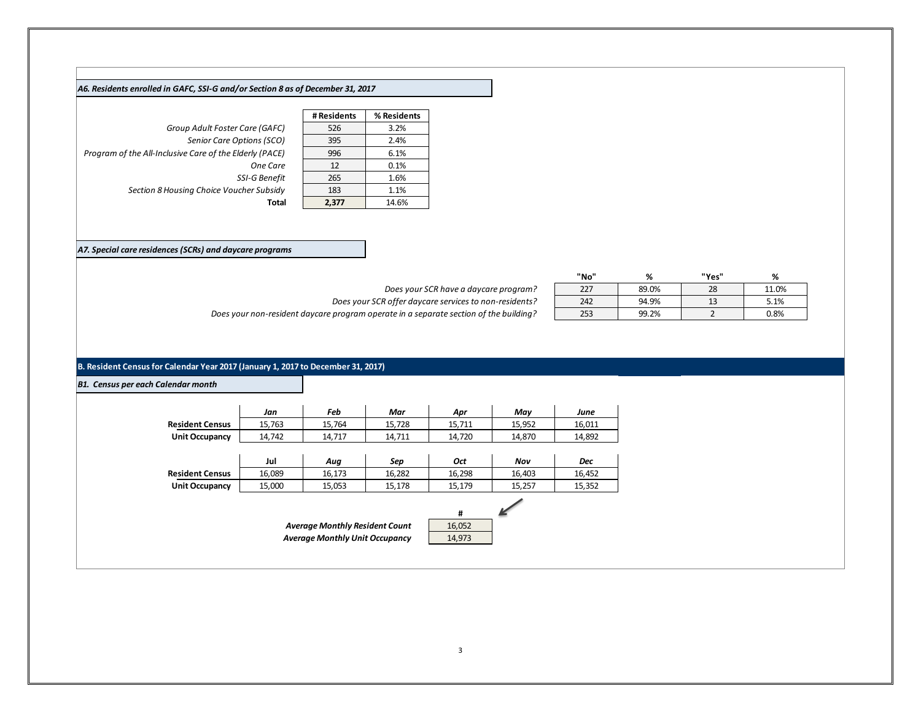#### *A6. Residents enrolled in GAFC, SSI-G and/or Section 8 as of December 31, 2017*

**Group Adult Foster Care (GAFC) Senior Care Options (SCO)** *Program of the All-Inclusive Care of the Elderly (PACE)* **One Care SSI-G Benefit Section 8 Housing Choice Voucher Subsidy Total 2,377** 14.6%

| # Residents | % Residents |
|-------------|-------------|
| 526         | 3.2%        |
| 395         | 2.4%        |
| 996         | 6.1%        |
| 12          | 0.1%        |
| 265         | 1.6%        |
| 183         | 1.1%        |
| 2,377       | 14.6%       |

*A7. Special care residences (SCRs) and daycare programs*

| Does your SCR have a daycare program?                                                 |
|---------------------------------------------------------------------------------------|
| Does your SCR offer daycare services to non-residents?                                |
| Does your non-resident daycare program operate in a separate section of the building? |

|                                                        | "No" | %     | "Yes" | %     |
|--------------------------------------------------------|------|-------|-------|-------|
| Does your SCR have a daycare program?                  | 227  | 89.0% | 28    | 11.0% |
| Does your SCR offer daycare services to non-residents? | 242  | 94.9% |       | 5.1%  |
| program operate in a separate section of the building? | 253  | 99.2% |       | 0.8%  |

## **B. Resident Census for Calendar Year 2017 (January 1, 2017 to December 31, 2017)**

|                        | Jan    | Feb                                   | Mar    | Apr         | May    | June       |
|------------------------|--------|---------------------------------------|--------|-------------|--------|------------|
| <b>Resident Census</b> | 15,763 | 15,764                                | 15,728 | 15,711      | 15,952 | 16,011     |
| <b>Unit Occupancy</b>  | 14,742 | 14,717                                | 14,711 | 14,720      | 14,870 | 14,892     |
|                        |        |                                       |        |             |        |            |
|                        | Jul    | Aug                                   | Sep    | <b>Oct</b>  | Nov    | <b>Dec</b> |
| <b>Resident Census</b> | 16,089 | 16,173                                | 16,282 | 16,298      | 16,403 | 16,452     |
| Unit Occupancy         | 15,000 | 15,053                                | 15,178 | 15,179      | 15,257 | 15,352     |
|                        |        | <b>Average Monthly Resident Count</b> |        | #<br>16,052 |        |            |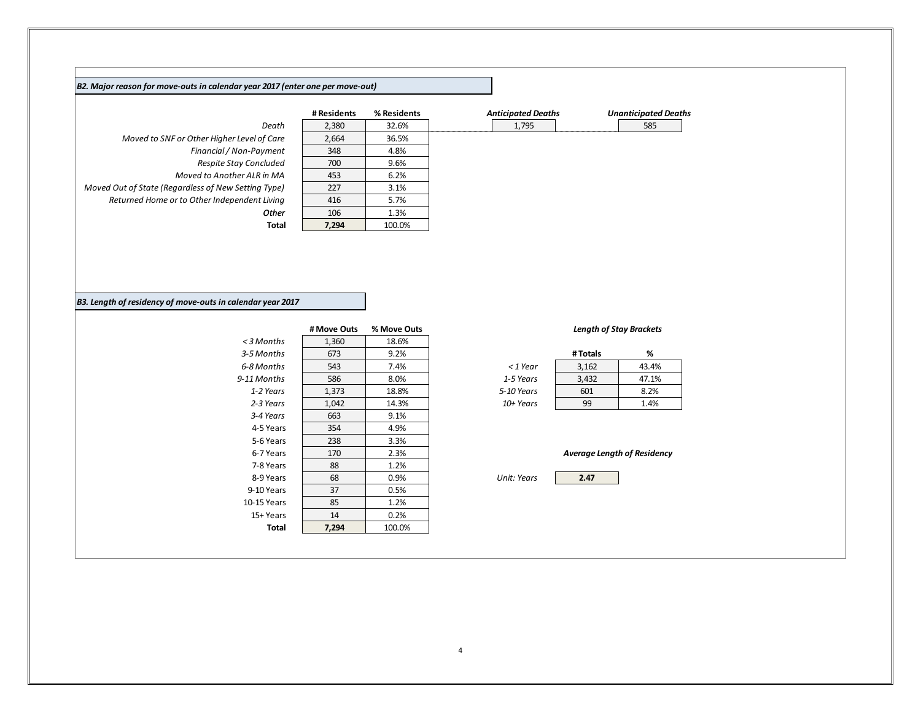#### *B2. Major reason for move-outs in calendar year 2017 (enter one per move-out)*

|                                                     | .     | ,,,,,,,,,,,,, | , ,,,,,,,,,,,, |
|-----------------------------------------------------|-------|---------------|----------------|
| Death                                               | 2,380 | 32.6%         | 1,79           |
| Moved to SNF or Other Higher Level of Care          | 2,664 | 36.5%         |                |
| Financial / Non-Payment                             | 348   | 4.8%          |                |
| Respite Stay Concluded                              | 700   | 9.6%          |                |
| Moved to Another ALR in MA                          | 453   | 6.2%          |                |
| Moved Out of State (Regardless of New Setting Type) | 227   | 3.1%          |                |
| Returned Home or to Other Independent Living        | 416   | 5.7%          |                |
| Other                                               | 106   | 1.3%          |                |
| Total                                               | 7.294 | 100.0%        |                |

| <b>Unanticipate</b> |
|---------------------|
| 585                 |
|                     |
|                     |
|                     |
|                     |
|                     |
|                     |
|                     |
|                     |
|                     |

# **# Residents % Residents** *Anticipated Deaths Unanticipated Deaths*

| unanticipatea vea |  |
|-------------------|--|
|                   |  |

## *B3. Length of residency of move-outs in calendar year 2017*

|             | # Move Outs | % Move Outs |             |                                  | <b>Length of Stay Brackets</b> |
|-------------|-------------|-------------|-------------|----------------------------------|--------------------------------|
| <3 Months   | 1,360       | 18.6%       |             |                                  |                                |
| 3-5 Months  | 673         | 9.2%        |             | # Totals                         | %                              |
| 6-8 Months  | 543         | 7.4%        | $<$ 1 Year  | 3,162                            | 43.4%                          |
| 9-11 Months | 586         | 8.0%        | 1-5 Years   | 3,432                            | 47.1%                          |
| 1-2 Years   | 1,373       | 18.8%       | 5-10 Years  | 601                              | 8.2%                           |
| 2-3 Years   | 1,042       | 14.3%       | $10+Years$  | 99                               | 1.4%                           |
| 3-4 Years   | 663         | 9.1%        |             |                                  |                                |
| 4-5 Years   | 354         | 4.9%        |             |                                  |                                |
| 5-6 Years   | 238         | 3.3%        |             |                                  |                                |
| 6-7 Years   | 170         | 2.3%        |             | <b>Average Length of Residen</b> |                                |
| 7-8 Years   | 88          | 1.2%        |             |                                  |                                |
| 8-9 Years   | 68          | $0.9\%$     | Unit: Years | 2.47                             |                                |
| 9-10 Years  | 37          | 0.5%        |             |                                  |                                |
| 10-15 Years | 85          | 1.2%        |             |                                  |                                |
| 15+ Years   | 14          | 0.2%        |             |                                  |                                |
| Total       | 7,294       | 100.0%      |             |                                  |                                |

## *Length of Stay Brackets*

|          | # Totals | ‰     |
|----------|----------|-------|
| : 1 Year | 3,162    | 43.4% |
| 5 Years  | 3,432    | 47.1% |
| 0 Years  | 601      | 8.2%  |
| + Years  | 99       | 1.4%  |

*Average Length of Residency*